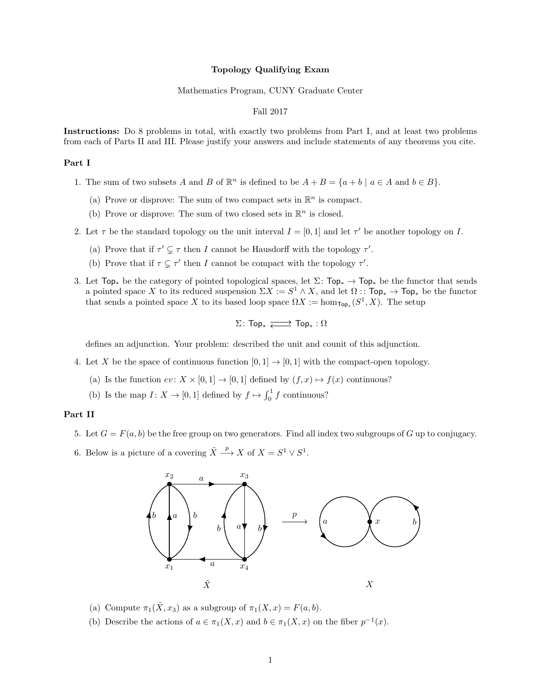#### Topology Qualifying Exam

#### Mathematics Program, CUNY Graduate Center

### Fall 2017

Instructions: Do 8 problems in total, with exactly two problems from Part I, and at least two problems from each of Parts II and III. Please justify your answers and include statements of any theorems you cite.

### Part I

- 1. The sum of two subsets A and B of  $\mathbb{R}^n$  is defined to be  $A + B = \{a + b \mid a \in A \text{ and } b \in B\}.$ 
	- (a) Prove or disprove: The sum of two compact sets in  $\mathbb{R}^n$  is compact.
	- (b) Prove or disprove: The sum of two closed sets in  $\mathbb{R}^n$  is closed.
- 2. Let  $\tau$  be the standard topology on the unit interval  $I = [0, 1]$  and let  $\tau'$  be another topology on I.
	- (a) Prove that if  $\tau' \subsetneq \tau$  then I cannot be Hausdorff with the topology  $\tau'$ .
	- (b) Prove that if  $\tau \subsetneq \tau'$  then I cannot be compact with the topology  $\tau'$ .
- 3. Let  $Top_*$  be the category of pointed topological spaces, let  $\Sigma: Top_* \to Top_*$  be the functor that sends a pointed space X to its reduced suspension  $\Sigma X := S^1 \wedge X$ , and let  $\Omega : \mathsf{Top}_* \to \mathsf{Top}_*$  be the functor that sends a pointed space X to its based loop space  $\Omega X := \hom_{\mathsf{Top}_*}(S^1, X)$ . The setup

$$
\Sigma\colon \mathsf{Top}_*\xrightarrow[\longleftarrow]{}\mathsf{Top}_*:\Omega
$$

defines an adjunction. Your problem: described the unit and counit of this adjunction.

- 4. Let X be the space of continuous function  $[0, 1] \rightarrow [0, 1]$  with the compact-open topology.
	- (a) Is the function  $ev \colon X \times [0,1] \to [0,1]$  defined by  $(f, x) \mapsto f(x)$  continuous?
	- (b) Is the map  $I: X \to [0, 1]$  defined by  $f \mapsto \int_0^1 f$  continuous?

## Part II

- 5. Let  $G = F(a, b)$  be the free group on two generators. Find all index two subgroups of G up to conjugacy.
- 6. Below is a picture of a covering  $\tilde{X} \stackrel{p}{\longrightarrow} X$  of  $X = S^1 \vee S^1$ .



- (a) Compute  $\pi_1(\tilde{X}, x_3)$  as a subgroup of  $\pi_1(X, x) = F(a, b)$ .
- (b) Describe the actions of  $a \in \pi_1(X, x)$  and  $b \in \pi_1(X, x)$  on the fiber  $p^{-1}(x)$ .